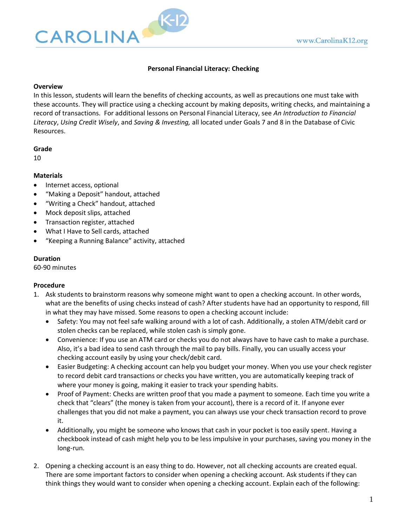

# **Personal Financial Literacy: Checking**

### **Overview**

In this lesson, students will learn the benefits of checking accounts, as well as precautions one must take with these accounts. They will practice using a checking account by making deposits, writing checks, and maintaining a record of transactions. For additional lessons on Personal Financial Literacy, see *An Introduction to Financial Literacy*, *Using Credit Wisely*, and *Saving & Investing,* all located under Goals 7 and 8 in the Database of Civic Resources.

#### **Grade**

10

## **Materials**

- Internet access, optional
- "Making a Deposit" handout, attached
- "Writing a Check" handout, attached
- Mock deposit slips, attached
- Transaction register, attached
- What I Have to Sell cards, attached
- "Keeping a Running Balance" activity, attached

## **Duration**

60-90 minutes

## **Procedure**

- 1. Ask students to brainstorm reasons why someone might want to open a checking account. In other words, what are the benefits of using checks instead of cash? After students have had an opportunity to respond, fill in what they may have missed. Some reasons to open a checking account include:
	- Safety: You may not feel safe walking around with a lot of cash. Additionally, a stolen ATM/debit card or stolen checks can be replaced, while stolen cash is simply gone.
	- Convenience: If you use an ATM card or checks you do not always have to have cash to make a purchase. Also, it's a bad idea to send cash through the mail to pay bills. Finally, you can usually access your checking account easily by using your check/debit card.
	- Easier Budgeting: A checking account can help you budget your money. When you use your check register to record debit card transactions or checks you have written, you are automatically keeping track of where your money is going, making it easier to track your spending habits.
	- Proof of Payment: Checks are written proof that you made a payment to someone. Each time you write a check that "clears" (the money is taken from your account), there is a record of it. If anyone ever challenges that you did not make a payment, you can always use your check transaction record to prove it.
	- Additionally, you might be someone who knows that cash in your pocket is too easily spent. Having a checkbook instead of cash might help you to be less impulsive in your purchases, saving you money in the long-run.
- 2. Opening a checking account is an easy thing to do. However, not all checking accounts are created equal. There are some important factors to consider when opening a checking account. Ask students if they can think things they would want to consider when opening a checking account. Explain each of the following: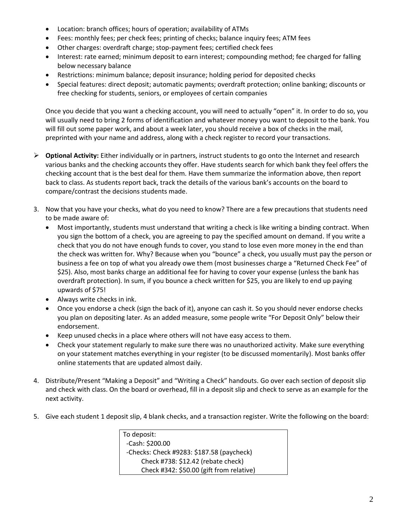- Location: branch offices; hours of operation; availability of ATMs
- Fees: monthly fees; per check fees; printing of checks; balance inquiry fees; ATM fees
- Other charges: overdraft charge; stop-payment fees; certified check fees
- Interest: rate earned; minimum deposit to earn interest; compounding method; fee charged for falling below necessary balance
- Restrictions: minimum balance; deposit insurance; holding period for deposited checks
- Special features: direct deposit; automatic payments; overdraft protection; online banking; discounts or free checking for students, seniors, or employees of certain companies

Once you decide that you want a checking account, you will need to actually "open" it. In order to do so, you will usually need to bring 2 forms of identification and whatever money you want to deposit to the bank. You will fill out some paper work, and about a week later, you should receive a box of checks in the mail, preprinted with your name and address, along with a check register to record your transactions.

- ➢ **Optional Activity:** Either individually or in partners, instruct students to go onto the Internet and research various banks and the checking accounts they offer. Have students search for which bank they feel offers the checking account that is the best deal for them. Have them summarize the information above, then report back to class. As students report back, track the details of the various bank's accounts on the board to compare/contrast the decisions students made.
- 3. Now that you have your checks, what do you need to know? There are a few precautions that students need to be made aware of:
	- Most importantly, students must understand that writing a check is like writing a binding contract. When you sign the bottom of a check, you are agreeing to pay the specified amount on demand. If you write a check that you do not have enough funds to cover, you stand to lose even more money in the end than the check was written for. Why? Because when you "bounce" a check, you usually must pay the person or business a fee on top of what you already owe them (most businesses charge a "Returned Check Fee" of \$25). Also, most banks charge an additional fee for having to cover your expense (unless the bank has overdraft protection). In sum, if you bounce a check written for \$25, you are likely to end up paying upwards of \$75!
	- Always write checks in ink.
	- Once you endorse a check (sign the back of it), anyone can cash it. So you should never endorse checks you plan on depositing later. As an added measure, some people write "For Deposit Only" below their endorsement.
	- Keep unused checks in a place where others will not have easy access to them.
	- Check your statement regularly to make sure there was no unauthorized activity. Make sure everything on your statement matches everything in your register (to be discussed momentarily). Most banks offer online statements that are updated almost daily.
- 4. Distribute/Present "Making a Deposit" and "Writing a Check" handouts. Go over each section of deposit slip and check with class. On the board or overhead, fill in a deposit slip and check to serve as an example for the next activity.
- 5. Give each student 1 deposit slip, 4 blank checks, and a transaction register. Write the following on the board:

To deposit: -Cash: \$200.00 -Checks: Check #9283: \$187.58 (paycheck) Check #738: \$12.42 (rebate check) Check #342: \$50.00 (gift from relative)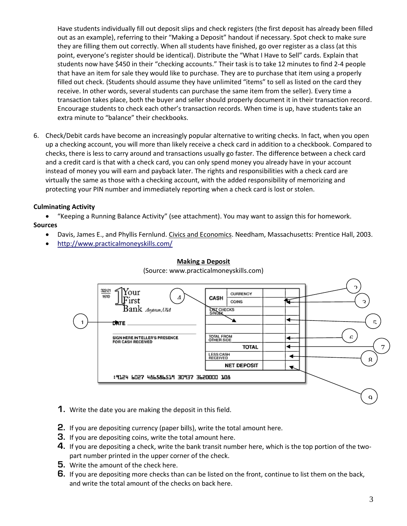Have students individually fill out deposit slips and check registers (the first deposit has already been filled out as an example), referring to their "Making a Deposit" handout if necessary. Spot check to make sure they are filling them out correctly. When all students have finished, go over register as a class (at this point, everyone's register should be identical). Distribute the "What I Have to Sell" cards. Explain that students now have \$450 in their "checking accounts." Their task is to take 12 minutes to find 2-4 people that have an item for sale they would like to purchase. They are to purchase that item using a properly filled out check. (Students should assume they have unlimited "items" to sell as listed on the card they receive. In other words, several students can purchase the same item from the seller). Every time a transaction takes place, both the buyer and seller should properly document it in their transaction record. Encourage students to check each other's transaction records. When time is up, have students take an extra minute to "balance" their checkbooks.

6. Check/Debit cards have become an increasingly popular alternative to writing checks. In fact, when you open up a checking account, you will more than likely receive a check card in addition to a checkbook. Compared to checks, there is less to carry around and transactions usually go faster. The difference between a check card and a credit card is that with a check card, you can only spend money you already have in your account instead of money you will earn and payback later. The rights and responsibilities with a check card are virtually the same as those with a checking account, with the added responsibility of memorizing and protecting your PIN number and immediately reporting when a check card is lost or stolen.

# **Culminating Activity**

• "Keeping a Running Balance Activity" (see attachment). You may want to assign this for homework.

## **Sources**

- Davis, James E., and Phyllis Fernlund. Civics and Economics. Needham, Massachusetts: Prentice Hall, 2003.
- <http://www.practicalmoneyskills.com/>



## **Making a Deposit**

(Source: www.practicalmoneyskills.com)

- **1.** Write the date you are making the deposit in this field.
- **2.** If you are depositing currency (paper bills), write the total amount here.
- **3.** If you are depositing coins, write the total amount here.
- **4.** If you are depositing a check, write the bank transit number here, which is the top portion of the twopart number printed in the upper corner of the check.
- **5.** Write the amount of the check here.
- **6.** If you are depositing more checks than can be listed on the front, continue to list them on the back, and write the total amount of the checks on back here.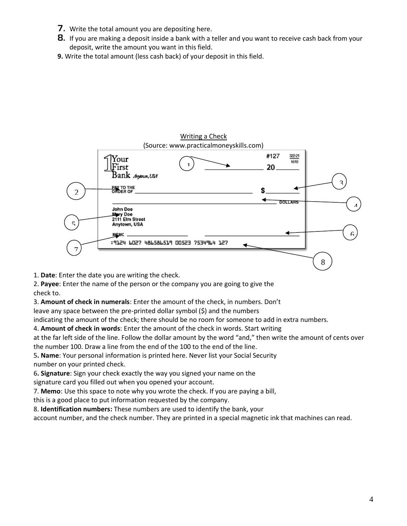- **7.** Write the total amount you are depositing here.
- **8.** If you are making a deposit inside a bank with a teller and you want to receive cash back from your deposit, write the amount you want in this field.
- **9.** Write the total amount (less cash back) of your deposit in this field.



1. **Date**: Enter the date you are writing the check.

2. **Payee**: Enter the name of the person or the company you are going to give the check to.

3. **Amount of check in numerals**: Enter the amount of the check, in numbers. Don't

leave any space between the pre-printed dollar symbol (\$) and the numbers

indicating the amount of the check; there should be no room for someone to add in extra numbers.

4. **Amount of check in words**: Enter the amount of the check in words. Start writing

at the far left side of the line. Follow the dollar amount by the word "and," then write the amount of cents over the number 100. Draw a line from the end of the 100 to the end of the line.

5**. Name**: Your personal information is printed here. Never list your Social Security number on your printed check.

6**. Signature**: Sign your check exactly the way you signed your name on the

signature card you filled out when you opened your account.

7. **Memo**: Use this space to note why you wrote the check. If you are paying a bill,

this is a good place to put information requested by the company.

8. **Identification numbers:** These numbers are used to identify the bank, your

account number, and the check number. They are printed in a special magnetic ink that machines can read.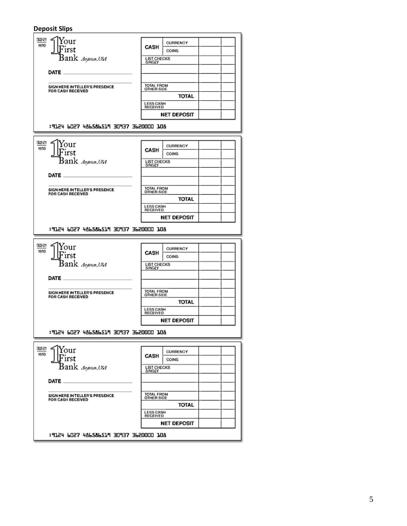#### **Deposit Slips**

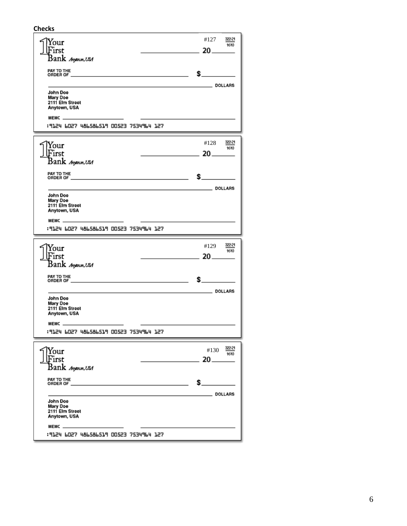**Checks**

| Your<br>First<br>Bank <i>Ang</i> onon,USA                                                               | #127<br>322-21<br>1610<br>$20 -$ |
|---------------------------------------------------------------------------------------------------------|----------------------------------|
| PAY TO THE<br>ORDER OF __<br>the control of the control of the control of the control of the control of | \$                               |
| John Doe<br>Mary Doe<br>2111 Elm Street<br>Anytown, USA<br>MEMC -                                       | DOLLARS DOLLARS                  |
| :9124 6027 486586519 00523 7534964 127                                                                  |                                  |
| rour<br>First<br>Bank <i>Ang</i> onon,USA                                                               | #128<br>322-21<br>1610<br>$20 -$ |
| PAY TO THE<br><u> 1989 - Johann John Stone, mars eta biztanleria (</u><br>ORDER OF                      | \$                               |
| John Doe<br>Mary Doe<br>2111 Elm Street<br>Anytown, USA<br>MEMC —                                       | DOLLARS DOLLARS                  |
| :9124 6027 486586519 00523 7534964 127                                                                  |                                  |
|                                                                                                         |                                  |
| Your<br>First<br>Bank <i>Ang</i> onon,USA                                                               | #129<br>1610<br>20__             |
| PAY TO THE<br>ORDER OF _                                                                                | \$_                              |
| John Doe<br>Mary Doe<br>2111 Elm Street<br>Anytown, USA<br>MEMC _                                       | DOLLARS                          |
| F51 PJPPE27 F5200 PIZ36653 P51PH 127                                                                    |                                  |
| Your<br>First<br>Bank <i>Angenan,USA</i>                                                                | #130<br>20                       |
| PAY TO THE<br>ORDER OF                                                                                  | \$                               |
| John Doe<br>Mary Doe<br>2111 Elm Street<br>Anytown, USA<br>MEMC _                                       | <b>DOLLARS</b>                   |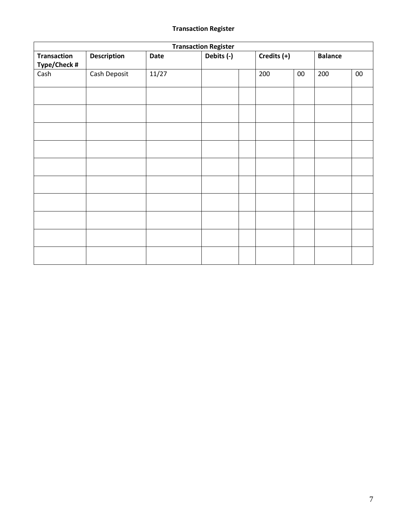# **Transaction Register**

| <b>Transaction Register</b>        |                    |             |            |  |             |        |                |        |
|------------------------------------|--------------------|-------------|------------|--|-------------|--------|----------------|--------|
| <b>Transaction</b><br>Type/Check # | <b>Description</b> | <b>Date</b> | Debits (-) |  | Credits (+) |        | <b>Balance</b> |        |
| Cash                               | Cash Deposit       | 11/27       |            |  | 200         | $00\,$ | 200            | $00\,$ |
|                                    |                    |             |            |  |             |        |                |        |
|                                    |                    |             |            |  |             |        |                |        |
|                                    |                    |             |            |  |             |        |                |        |
|                                    |                    |             |            |  |             |        |                |        |
|                                    |                    |             |            |  |             |        |                |        |
|                                    |                    |             |            |  |             |        |                |        |
|                                    |                    |             |            |  |             |        |                |        |
|                                    |                    |             |            |  |             |        |                |        |
|                                    |                    |             |            |  |             |        |                |        |
|                                    |                    |             |            |  |             |        |                |        |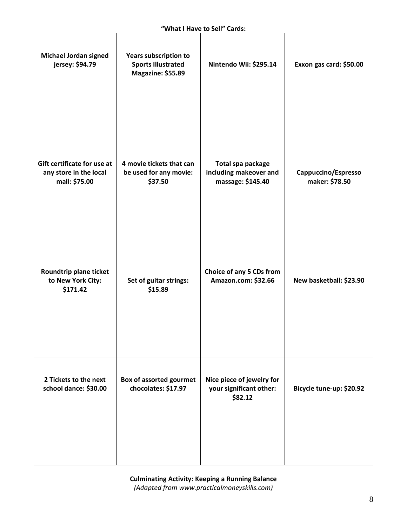| <b>Michael Jordan signed</b><br>jersey: \$94.79                        | <b>Years subscription to</b><br><b>Sports Illustrated</b><br>Magazine: \$55.89 | Nintendo Wii: \$295.14                                           | Exxon gas card: \$50.00               |
|------------------------------------------------------------------------|--------------------------------------------------------------------------------|------------------------------------------------------------------|---------------------------------------|
| Gift certificate for use at<br>any store in the local<br>mall: \$75.00 | 4 movie tickets that can<br>be used for any movie:<br>\$37.50                  | Total spa package<br>including makeover and<br>massage: \$145.40 | Cappuccino/Espresso<br>maker: \$78.50 |
| Roundtrip plane ticket<br>to New York City:<br>\$171.42                | Set of guitar strings:<br>\$15.89                                              | Choice of any 5 CDs from<br>Amazon.com: \$32.66                  | New basketball: \$23.90               |
| 2 Tickets to the next<br>school dance: \$30.00                         | Box of assorted gourmet<br>chocolates: \$17.97                                 | Nice piece of jewelry for<br>your significant other:<br>\$82.12  | Bicycle tune-up: \$20.92              |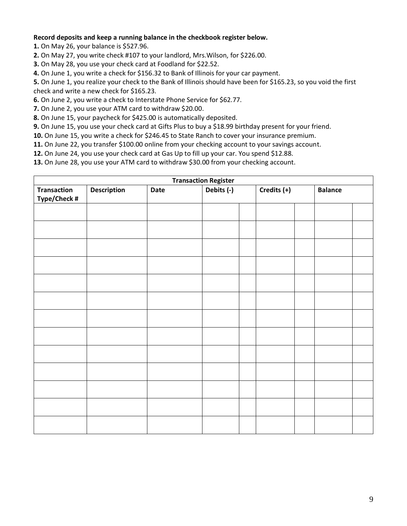### **Record deposits and keep a running balance in the checkbook register below.**

**1.** On May 26, your balance is \$527.96.

**2.** On May 27, you write check #107 to your landlord, Mrs.Wilson, for \$226.00.

**3.** On May 28, you use your check card at Foodland for \$22.52.

**4.** On June 1, you write a check for \$156.32 to Bank of Illinois for your car payment.

**5.** On June 1, you realize your check to the Bank of Illinois should have been for \$165.23, so you void the first check and write a new check for \$165.23.

**6.** On June 2, you write a check to Interstate Phone Service for \$62.77.

**7.** On June 2, you use your ATM card to withdraw \$20.00.

**8.** On June 15, your paycheck for \$425.00 is automatically deposited.

**9.** On June 15, you use your check card at Gifts Plus to buy a \$18.99 birthday present for your friend.

**10.** On June 15, you write a check for \$246.45 to State Ranch to cover your insurance premium.

**11.** On June 22, you transfer \$100.00 online from your checking account to your savings account.

**12.** On June 24, you use your check card at Gas Up to fill up your car. You spend \$12.88.

**13.** On June 28, you use your ATM card to withdraw \$30.00 from your checking account.

| <b>Transaction Register</b>        |                    |      |            |  |             |  |                |  |  |
|------------------------------------|--------------------|------|------------|--|-------------|--|----------------|--|--|
| <b>Transaction</b><br>Type/Check # | <b>Description</b> | Date | Debits (-) |  | Credits (+) |  | <b>Balance</b> |  |  |
|                                    |                    |      |            |  |             |  |                |  |  |
|                                    |                    |      |            |  |             |  |                |  |  |
|                                    |                    |      |            |  |             |  |                |  |  |
|                                    |                    |      |            |  |             |  |                |  |  |
|                                    |                    |      |            |  |             |  |                |  |  |
|                                    |                    |      |            |  |             |  |                |  |  |
|                                    |                    |      |            |  |             |  |                |  |  |
|                                    |                    |      |            |  |             |  |                |  |  |
|                                    |                    |      |            |  |             |  |                |  |  |
|                                    |                    |      |            |  |             |  |                |  |  |
|                                    |                    |      |            |  |             |  |                |  |  |
|                                    |                    |      |            |  |             |  |                |  |  |
|                                    |                    |      |            |  |             |  |                |  |  |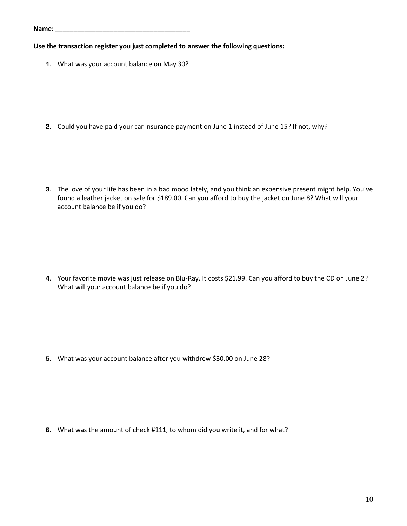| Name: |  |  |  |  |  |  |  |
|-------|--|--|--|--|--|--|--|
|       |  |  |  |  |  |  |  |

**Use the transaction register you just completed to answer the following questions:**

**1.** What was your account balance on May 30?

**2.** Could you have paid your car insurance payment on June 1 instead of June 15? If not, why?

**3.** The love of your life has been in a bad mood lately, and you think an expensive present might help. You've found a leather jacket on sale for \$189.00. Can you afford to buy the jacket on June 8? What will your account balance be if you do?

**4.** Your favorite movie was just release on Blu-Ray. It costs \$21.99. Can you afford to buy the CD on June 2? What will your account balance be if you do?

**5.** What was your account balance after you withdrew \$30.00 on June 28?

**6.** What was the amount of check #111, to whom did you write it, and for what?